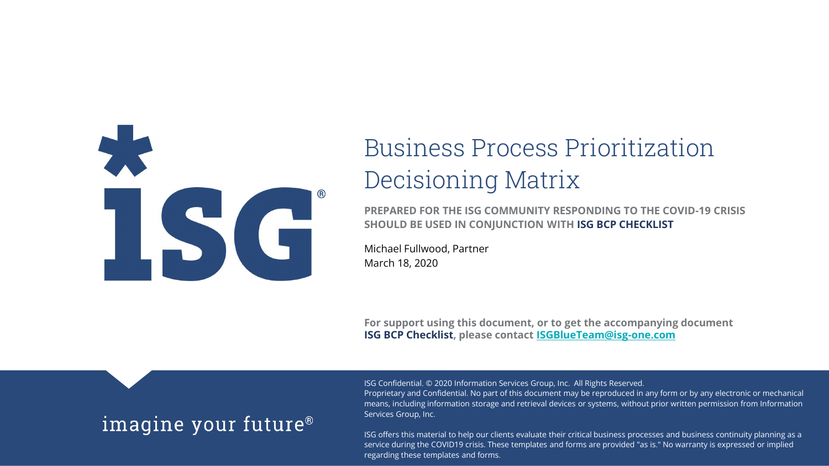

# Business Process Prioritization Decisioning Matrix

**PREPARED FOR THE ISG COMMUNITY RESPONDING TO THE COVID-19 CRISIS SHOULD BE USED IN CONJUNCTION WITH ISG BCP CHECKLIST**

Michael Fullwood, Partner March 18, 2020

**For support using this document, or to get the accompanying document ISG BCP Checklist, please contact [ISGBlueTeam@isg-one.com](mailto:ISGBlueTeam@isg-one.com)**

#### imagine your future<sup>®</sup>

ISG Confidential. © 2020 Information Services Group, Inc. All Rights Reserved.

Proprietary and Confidential. No part of this document may be reproduced in any form or by any electronic or mechanical means, including information storage and retrieval devices or systems, without prior written permission from Information Services Group, Inc.

ISG offers this material to help our clients evaluate their critical business processes and business continuity planning as a service during the COVID19 crisis. These templates and forms are provided "as is." No warranty is expressed or implied regarding these templates and forms.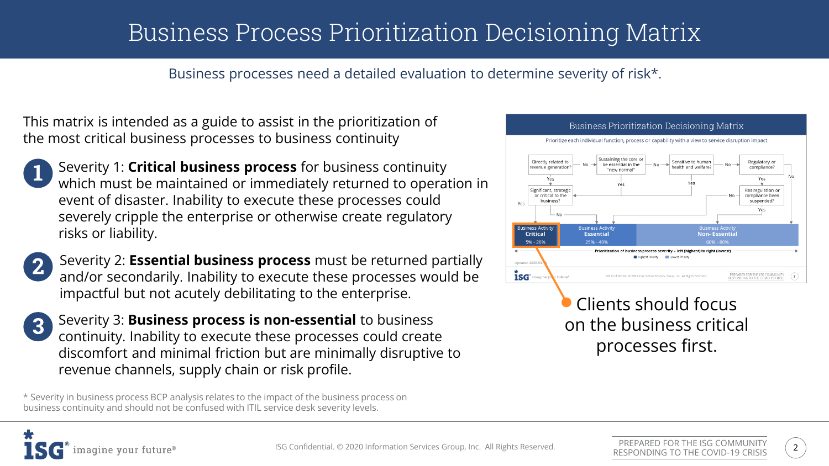## Business Process Prioritization Decisioning Matrix

Business processes need a detailed evaluation to determine severity of risk\*.

This matrix is intended as a guide to assist in the prioritization of the most critical business processes to business continuity

Severity 1: **Critical business process** for business continuity which must be maintained or immediately returned to operation in event of disaster. Inability to execute these processes could severely cripple the enterprise or otherwise create regulatory risks or liability.

Severity 2: **Essential business process** must be returned partially  $\mathbf{2}$ and/or secondarily. Inability to execute these processes would be impactful but not acutely debilitating to the enterprise.

 $3<sup>1</sup>$ 

Severity 3: **Business process is non-essential** to business continuity. Inability to execute these processes could create discomfort and minimal friction but are minimally disruptive to revenue channels, supply chain or risk profile.

\* Severity in business process BCP analysis relates to the impact of the business process on business continuity and should not be confused with ITIL service desk severity levels.



Clients should focus on the business critical processes first.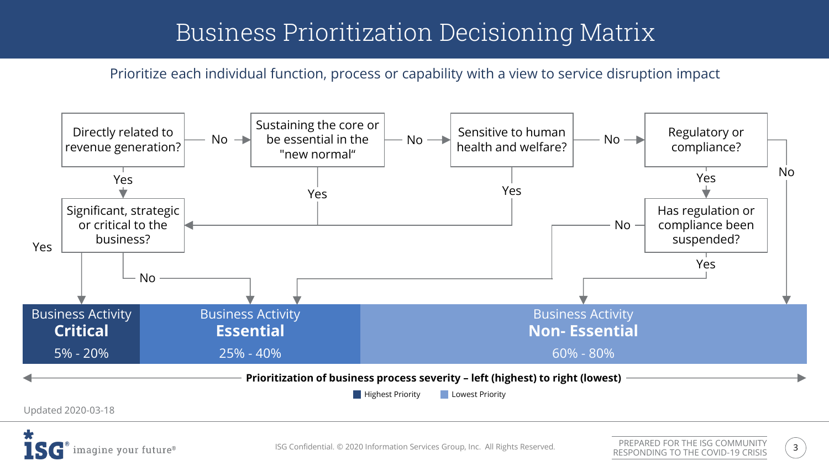### Business Prioritization Decisioning Matrix

Prioritize each individual function, process or capability with a view to service disruption impact



imagine your future®

ISG Confidential. © 2020 Information Services Group, Inc. All Rights Reserved.  $\frac{1}{2}$